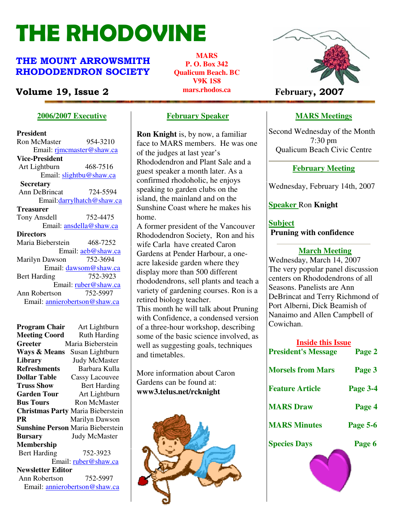# THE RHODOVINE

# THE MOUNT ARROWSMITH RHODODENDRON SOCIETY

# **Volume 19, Issue 2 February**, 2007

**2006/2007 Executive**

**President**  Ron McMaster 954-3210 Email: rjmcmaster@shaw.ca **Vice-President**  Art Lightburn 468-7516 Email: slightbu@shaw.ca **Secretary** Ann DeBrincat 724-5594 Email:darrylhatch@shaw.ca **Treasurer** Tony Ansdell 752-4475 Email: ansdella@shaw.ca **Directors**  Maria Bieberstein 468-7252 Email: aeb@shaw.ca Marilyn Dawson 752-3694 Email: dawsom@shaw.ca Bert Harding 752-3923 Email: <u>ruber@shaw.ca</u><br>son 752-5997 Ann Robertson Email: annierobertson@shaw.ca

**Program Chair** Art Lightburn<br>**Meeting Coord** Ruth Harding **Meeting Coord Greeter** Maria Bieberstein **Ways & Means** Susan Lightburn **Library** Judy McMaster **Refreshments** Barbara Kulla<br>**Dollar Table** Cassy Lacouvee **Cassy Lacouvee Truss Show** Bert Harding **Garden Tour** Art Lightburn **Bus Tours Ron McMaster Christmas Party** Maria Bieberstein **PR Marilyn Dawson Sunshine Person** Maria Bieberstein **Bursary** Judy McMaster **Membership**  Bert Harding 752-3923 Email: ruber@shaw.ca **Newsletter Editor** Ann Robertson 752-5997 Email: annierobertson@shaw.ca

**MARS P. O. Box 342 Qualicum Beach. BC V9K 1S8 mars.rhodos.ca** 



## **MARS Meetings**

Second Wednesday of the Month 7:30 pm Qualicum Beach Civic Centre

# **February Meeting**

Wednesday, February 14th, 2007

## **Speaker** Ron **Knight**

**Subject Pruning with confidence**

#### **March Meeting**

Wednesday, March 14, 2007 The very popular panel discussion centers on Rhododendrons of all Seasons. Panelists are Ann DeBrincat and Terry Richmond of Port Alberni, Dick Beamish of Nanaimo and Allen Campbell of Cowichan.

| <b>Inside this Issue</b>   |                 |  |
|----------------------------|-----------------|--|
| <b>President's Message</b> | Page 2          |  |
|                            |                 |  |
| <b>Morsels from Mars</b>   | Page 3          |  |
|                            |                 |  |
| <b>Feature Article</b>     | Page 3-4        |  |
|                            |                 |  |
| <b>MARS Draw</b>           | Page 4          |  |
|                            |                 |  |
| <b>MARS Minutes</b>        | <b>Page 5-6</b> |  |
|                            |                 |  |
| <b>Species Days</b>        | Page 6          |  |
|                            |                 |  |
|                            |                 |  |

# **February Speaker**

**Ron Knight** is, by now, a familiar face to MARS members. He was one of the judges at last year's Rhododendron and Plant Sale and a guest speaker a month later. As a confirmed rhodoholic, he enjoys speaking to garden clubs on the island, the mainland and on the Sunshine Coast where he makes his home.

A former president of the Vancouver Rhododendron Society, Ron and his wife Carla have created Caron Gardens at Pender Harbour, a oneacre lakeside garden where they display more than 500 different rhododendrons, sell plants and teach a variety of gardening courses. Ron is a retired biology teacher. This month he will talk about Pruning with Confidence, a condensed version of a three-hour workshop, describing some of the basic science involved, as well as suggesting goals, techniques and timetables.

More information about Caron Gardens can be found at: **www3.telus.net/rcknight**

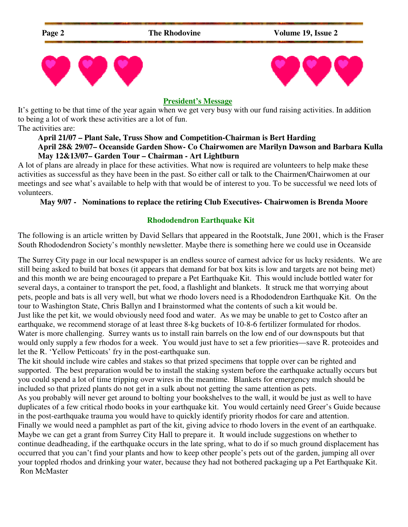| Page 2 | <b>The Rhodovine</b>       | Volume 19, Issue 2 |
|--------|----------------------------|--------------------|
|        |                            |                    |
|        | <b>President's Message</b> |                    |

It's getting to be that time of the year again when we get very busy with our fund raising activities. In addition to being a lot of work these activities are a lot of fun.

The activities are:

### **April 21/07 – Plant Sale, Truss Show and Competition-Chairman is Bert Harding**

#### **April 28& 29/07– Oceanside Garden Show- Co Chairwomen are Marilyn Dawson and Barbara Kulla May 12&13/07– Garden Tour – Chairman - Art Lightburn**

A lot of plans are already in place for these activities. What now is required are volunteers to help make these activities as successful as they have been in the past. So either call or talk to the Chairmen/Chairwomen at our meetings and see what's available to help with that would be of interest to you. To be successful we need lots of volunteers.

#### **May 9/07 - Nominations to replace the retiring Club Executives- Chairwomen is Brenda Moore**

#### **Rhododendron Earthquake Kit**

The following is an article written by David Sellars that appeared in the Rootstalk, June 2001, which is the Fraser South Rhododendron Society's monthly newsletter. Maybe there is something here we could use in Oceanside

The Surrey City page in our local newspaper is an endless source of earnest advice for us lucky residents. We are still being asked to build bat boxes (it appears that demand for bat box kits is low and targets are not being met) and this month we are being encouraged to prepare a Pet Earthquake Kit. This would include bottled water for several days, a container to transport the pet, food, a flashlight and blankets. It struck me that worrying about pets, people and bats is all very well, but what we rhodo lovers need is a Rhododendron Earthquake Kit. On the tour to Washington State, Chris Ballyn and I brainstormed what the contents of such a kit would be. Just like the pet kit, we would obviously need food and water. As we may be unable to get to Costco after an earthquake, we recommend storage of at least three 8-kg buckets of 10-8-6 fertilizer formulated for rhodos. Water is more challenging. Surrey wants us to install rain barrels on the low end of our downspouts but that would only supply a few rhodos for a week. You would just have to set a few priorities—save R. proteoides and let the R. 'Yellow Petticoats' fry in the post-earthquake sun.

The kit should include wire cables and stakes so that prized specimens that topple over can be righted and supported. The best preparation would be to install the staking system before the earthquake actually occurs but you could spend a lot of time tripping over wires in the meantime. Blankets for emergency mulch should be included so that prized plants do not get in a sulk about not getting the same attention as pets.

As you probably will never get around to bolting your bookshelves to the wall, it would be just as well to have duplicates of a few critical rhodo books in your earthquake kit. You would certainly need Greer's Guide because in the post-earthquake trauma you would have to quickly identify priority rhodos for care and attention. Finally we would need a pamphlet as part of the kit, giving advice to rhodo lovers in the event of an earthquake. Maybe we can get a grant from Surrey City Hall to prepare it. It would include suggestions on whether to continue deadheading, if the earthquake occurs in the late spring, what to do if so much ground displacement has occurred that you can't find your plants and how to keep other people's pets out of the garden, jumping all over your toppled rhodos and drinking your water, because they had not bothered packaging up a Pet Earthquake Kit. Ron McMaster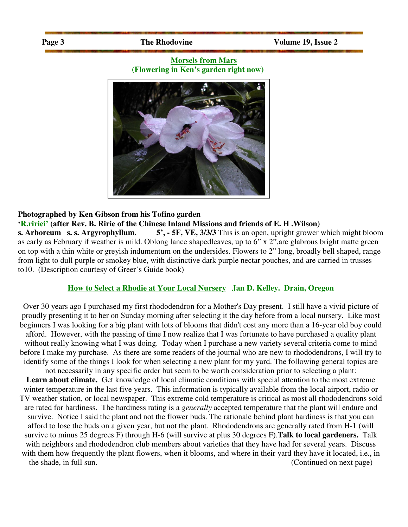#### **Morsels from Mars (Flowering in Ken's garden right now)**



#### **Photographed by Ken Gibson from his Tofino garden**

#### **'R.ririei' (after Rev. B. Ririe of the Chinese Inland Missions and friends of E. H .Wilson)**

**s. Arboreum s. s. Argyrophyllum.** 5', - 5F, VE, 3/3/3 This is an open, upright grower which might bloom as early as February if weather is mild. Oblong lance shapedleaves, up to 6" x 2",are glabrous bright matte green on top with a thin white or greyish indumentum on the undersides. Flowers to 2" long, broadly bell shaped, range from light to dull purple or smokey blue, with distinctive dark purple nectar pouches, and are carried in trusses to10. (Description courtesy of Greer's Guide book)

#### **How to Select a Rhodie at Your Local Nursery Jan D. Kelley. Drain, Oregon**

Over 30 years ago I purchased my first rhododendron for a Mother's Day present. I still have a vivid picture of proudly presenting it to her on Sunday morning after selecting it the day before from a local nursery. Like most beginners I was looking for a big plant with lots of blooms that didn't cost any more than a 16-year old boy could afford. However, with the passing of time I now realize that I was fortunate to have purchased a quality plant without really knowing what I was doing. Today when I purchase a new variety several criteria come to mind before I make my purchase. As there are some readers of the journal who are new to rhododendrons, I will try to identify some of the things I look for when selecting a new plant for my yard. The following general topics are not necessarily in any specific order but seem to be worth consideration prior to selecting a plant:

Learn about climate. Get knowledge of local climatic conditions with special attention to the most extreme winter temperature in the last five years. This information is typically available from the local airport, radio or TV weather station, or local newspaper. This extreme cold temperature is critical as most all rhododendrons sold are rated for hardiness. The hardiness rating is a *generally* accepted temperature that the plant will endure and survive. Notice I said the plant and not the flower buds. The rationale behind plant hardiness is that you can afford to lose the buds on a given year, but not the plant. Rhododendrons are generally rated from H-1 (will survive to minus 25 degrees F) through H-6 (will survive at plus 30 degrees F).**Talk to local gardeners.** Talk with neighbors and rhododendron club members about varieties that they have had for several years. Discuss with them how frequently the plant flowers, when it blooms, and where in their yard they have it located, i.e., in the shade, in full sun. (Continued on next page)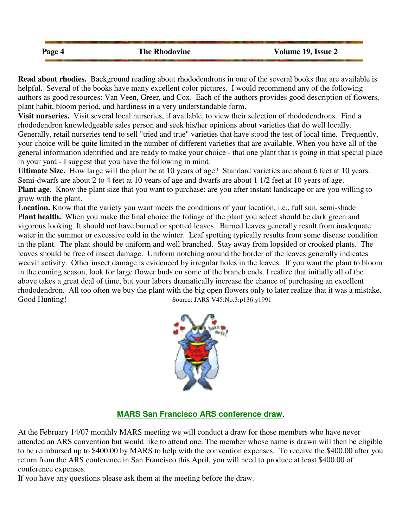| Page 4 | <b>The Rhodovine</b> | Volume 19, Issue 2 |
|--------|----------------------|--------------------|

**Read about rhodies.** Background reading about rhododendrons in one of the several books that are available is helpful. Several of the books have many excellent color pictures. I would recommend any of the following authors as good resources: Van Veen, Greer, and Cox. Each of the authors provides good description of flowers, plant habit, bloom period, and hardiness in a very understandable form.

**Visit nurseries.** Visit several local nurseries, if available, to view their selection of rhododendrons. Find a rhododendron knowledgeable sales person and seek his/her opinions about varieties that do well locally. Generally, retail nurseries tend to sell "tried and true" varieties that have stood the test of local time. Frequently, your choice will be quite limited in the number of different varieties that are available. When you have all of the general information identified and are ready to make your choice - that one plant that is going in that special place in your yard - I suggest that you have the following in mind:

**Ultimate Size.** How large will the plant be at 10 years of age? Standard varieties are about 6 feet at 10 years. Semi-dwarfs are about 2 to 4 feet at 10 years of age and dwarfs are about 1 1/2 feet at 10 years of age. **Plant age**. Know the plant size that you want to purchase: are you after instant landscape or are you willing to grow with the plant.

Location. Know that the variety you want meets the conditions of your location, i.e., full sun, semi-shade Pl**ant health.** When you make the final choice the foliage of the plant you select should be dark green and vigorous looking. It should not have burned or spotted leaves. Burned leaves generally result from inadequate water in the summer or excessive cold in the winter. Leaf spotting typically results from some disease condition in the plant. The plant should be uniform and well branched. Stay away from lopsided or crooked plants. The leaves should be free of insect damage. Uniform notching around the border of the leaves generally indicates weevil activity. Other insect damage is evidenced by irregular holes in the leaves. If you want the plant to bloom in the coming season, look for large flower buds on some of the branch ends. I realize that initially all of the above takes a great deal of time, but your labors dramatically increase the chance of purchasing an excellent rhododendron. All too often we buy the plant with the big open flowers only to later realize that it was a mistake. Good Hunting! Source: JARS V45:No.3:p136:y1991



## **MARS San Francisco ARS conference draw**.

At the February 14/07 monthly MARS meeting we will conduct a draw for those members who have never attended an ARS convention but would like to attend one. The member whose name is drawn will then be eligible to be reimbursed up to \$400.00 by MARS to help with the convention expenses. To receive the \$400.00 after you return from the ARS conference in San Francisco this April, you will need to produce at least \$400.00 of conference expenses.

If you have any questions please ask them at the meeting before the draw.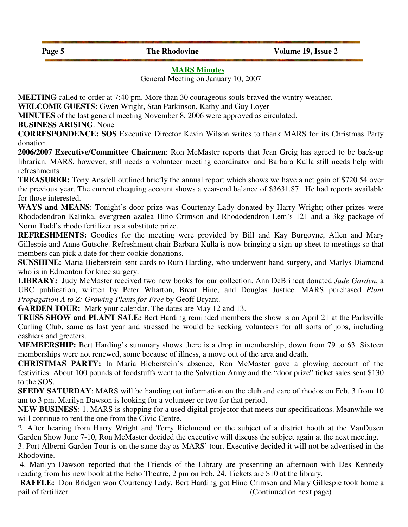#### **MARS Minutes**

General Meeting on January 10, 2007

**MEETING** called to order at 7:40 pm. More than 30 courageous souls braved the wintry weather.

**WELCOME GUESTS:** Gwen Wright, Stan Parkinson, Kathy and Guy Loyer

**MINUTES** of the last general meeting November 8, 2006 were approved as circulated.

**BUSINESS ARISING**: None

**CORRESPONDENCE: SOS** Executive Director Kevin Wilson writes to thank MARS for its Christmas Party donation.

**2006/2007 Executive/Committee Chairmen**: Ron McMaster reports that Jean Greig has agreed to be back-up librarian. MARS, however, still needs a volunteer meeting coordinator and Barbara Kulla still needs help with refreshments.

**TREASURER:** Tony Ansdell outlined briefly the annual report which shows we have a net gain of \$720.54 over the previous year. The current chequing account shows a year-end balance of \$3631.87. He had reports available for those interested.

**WAYS and MEANS**: Tonight's door prize was Courtenay Lady donated by Harry Wright; other prizes were Rhododendron Kalinka, evergreen azalea Hino Crimson and Rhododendron Lem's 121 and a 3kg package of Norm Todd's rhodo fertilizer as a substitute prize.

**REFRESHMENTS:** Goodies for the meeting were provided by Bill and Kay Burgoyne, Allen and Mary Gillespie and Anne Gutsche. Refreshment chair Barbara Kulla is now bringing a sign-up sheet to meetings so that members can pick a date for their cookie donations.

**SUNSHINE:** Maria Bieberstein sent cards to Ruth Harding, who underwent hand surgery, and Marlys Diamond who is in Edmonton for knee surgery.

**LIBRARY:** Judy McMaster received two new books for our collection. Ann DeBrincat donated *Jade Garden*, a UBC publication, written by Peter Wharton, Brent Hine, and Douglas Justice. MARS purchased *Plant Propagation A to Z: Growing Plants for Free* by Geoff Bryant.

**GARDEN TOUR:** Mark your calendar. The dates are May 12 and 13.

**TRUSS SHOW and PLANT SALE:** Bert Harding reminded members the show is on April 21 at the Parksville Curling Club, same as last year and stressed he would be seeking volunteers for all sorts of jobs, including cashiers and greeters.

**MEMBERSHIP:** Bert Harding's summary shows there is a drop in membership, down from 79 to 63. Sixteen memberships were not renewed, some because of illness, a move out of the area and death.

**CHRISTMAS PARTY:** In Maria Bieberstein's absence, Ron McMaster gave a glowing account of the festivities. About 100 pounds of foodstuffs went to the Salvation Army and the "door prize" ticket sales sent \$130 to the SOS.

**SEEDY SATURDAY**: MARS will be handing out information on the club and care of rhodos on Feb. 3 from 10 am to 3 pm. Marilyn Dawson is looking for a volunteer or two for that period.

**NEW BUSINESS**: 1. MARS is shopping for a used digital projector that meets our specifications. Meanwhile we will continue to rent the one from the Civic Centre.

2. After hearing from Harry Wright and Terry Richmond on the subject of a district booth at the VanDusen Garden Show June 7-10, Ron McMaster decided the executive will discuss the subject again at the next meeting.

3. Port Alberni Garden Tour is on the same day as MARS' tour. Executive decided it will not be advertised in the Rhodovine.

 4. Marilyn Dawson reported that the Friends of the Library are presenting an afternoon with Des Kennedy reading from his new book at the Echo Theatre, 2 pm on Feb. 24. Tickets are \$10 at the library.

**RAFFLE:** Don Bridgen won Courtenay Lady, Bert Harding got Hino Crimson and Mary Gillespie took home a pail of fertilizer. (Continued on next page)